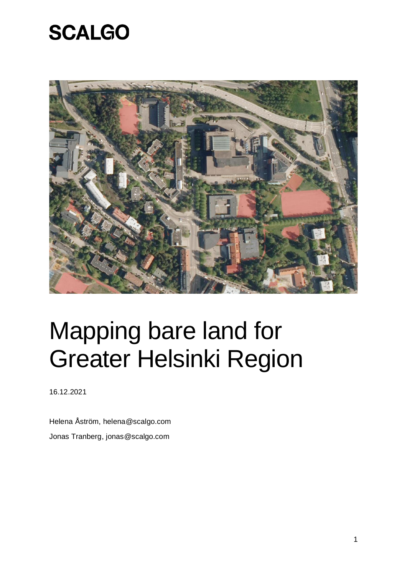

# Mapping bare land for Greater Helsinki Region

16.12.2021

Helena Åström, helena@scalgo.com Jonas Tranberg, jonas@scalgo.com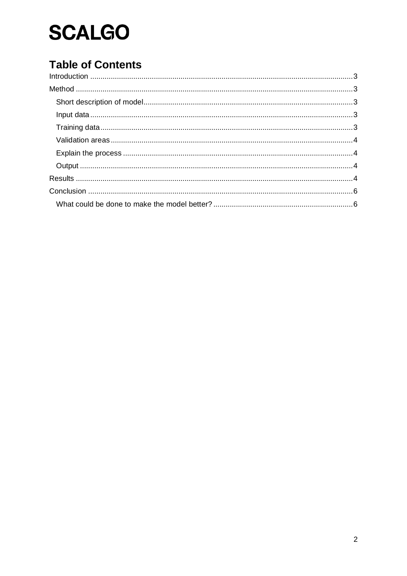### **Table of Contents**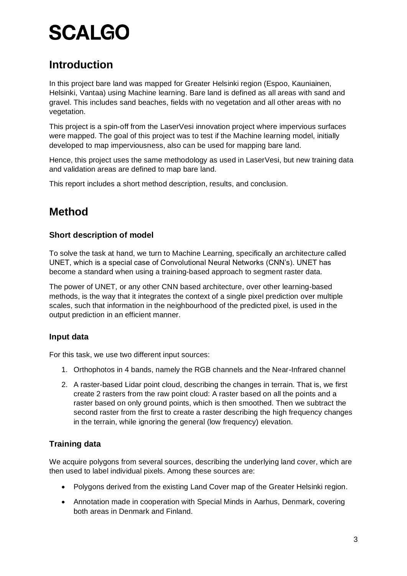### <span id="page-2-0"></span>**Introduction**

In this project bare land was mapped for Greater Helsinki region (Espoo, Kauniainen, Helsinki, Vantaa) using Machine learning. Bare land is defined as all areas with sand and gravel. This includes sand beaches, fields with no vegetation and all other areas with no vegetation.

This project is a spin-off from the LaserVesi innovation project where impervious surfaces were mapped. The goal of this project was to test if the Machine learning model, initially developed to map imperviousness, also can be used for mapping bare land.

Hence, this project uses the same methodology as used in LaserVesi, but new training data and validation areas are defined to map bare land.

This report includes a short method description, results, and conclusion.

### <span id="page-2-1"></span>**Method**

#### <span id="page-2-2"></span>**Short description of model**

To solve the task at hand, we turn to Machine Learning, specifically an architecture called UNET, which is a special case of Convolutional Neural Networks (CNN's). UNET has become a standard when using a training-based approach to segment raster data.

The power of UNET, or any other CNN based architecture, over other learning-based methods, is the way that it integrates the context of a single pixel prediction over multiple scales, such that information in the neighbourhood of the predicted pixel, is used in the output prediction in an efficient manner.

#### <span id="page-2-3"></span>**Input data**

For this task, we use two different input sources:

- 1. Orthophotos in 4 bands, namely the RGB channels and the Near-Infrared channel
- 2. A raster-based Lidar point cloud, describing the changes in terrain. That is, we first create 2 rasters from the raw point cloud: A raster based on all the points and a raster based on only ground points, which is then smoothed. Then we subtract the second raster from the first to create a raster describing the high frequency changes in the terrain, while ignoring the general (low frequency) elevation.

### <span id="page-2-4"></span>**Training data**

We acquire polygons from several sources, describing the underlying land cover, which are then used to label individual pixels. Among these sources are:

- Polygons derived from the existing Land Cover map of the Greater Helsinki region.
- Annotation made in cooperation with Special Minds in Aarhus, Denmark, covering both areas in Denmark and Finland.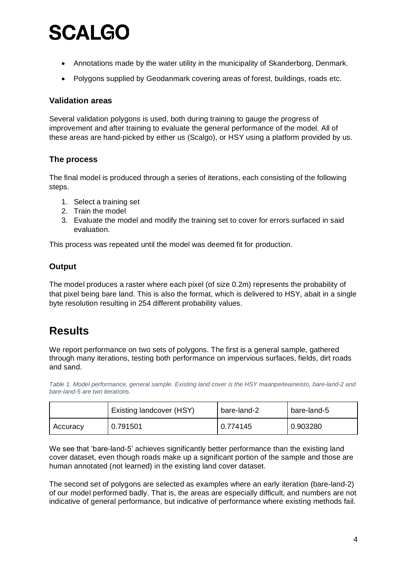- Annotations made by the water utility in the municipality of Skanderborg, Denmark.
- Polygons supplied by Geodanmark covering areas of forest, buildings, roads etc.

#### <span id="page-3-0"></span>**Validation areas**

Several validation polygons is used, both during training to gauge the progress of improvement and after training to evaluate the general performance of the model. All of these areas are hand-picked by either us (Scalgo), or HSY using a platform provided by us.

#### <span id="page-3-1"></span>**The process**

The final model is produced through a series of iterations, each consisting of the following steps.

- 1. Select a training set
- 2. Train the model
- 3. Evaluate the model and modify the training set to cover for errors surfaced in said evaluation.

This process was repeated until the model was deemed fit for production.

#### <span id="page-3-2"></span>**Output**

The model produces a raster where each pixel (of size 0.2m) represents the probability of that pixel being bare land. This is also the format, which is delivered to HSY, abait in a single byte resolution resulting in 254 different probability values.

### <span id="page-3-3"></span>**Results**

We report performance on two sets of polygons. The first is a general sample, gathered through many iterations, testing both performance on impervious surfaces, fields, dirt roads and sand.

*Table 1. Model performance, general sample. Existing land cover is the HSY maanpeiteaineisto, bare-land-2 and bare-land-5 are two iterations.*

|          | Existing landcover (HSY) | l bare-land-2 | bare-land-5 |
|----------|--------------------------|---------------|-------------|
| Accuracy | 0.791501                 | 0.774145      | 0.903280    |

We see that 'bare-land-5' achieves significantly better performance than the existing land cover dataset, even though roads make up a significant portion of the sample and those are human annotated (not learned) in the existing land cover dataset.

The second set of polygons are selected as examples where an early iteration (bare-land-2) of our model performed badly. That is, the areas are especially difficult, and numbers are not indicative of general performance, but indicative of performance where existing methods fail.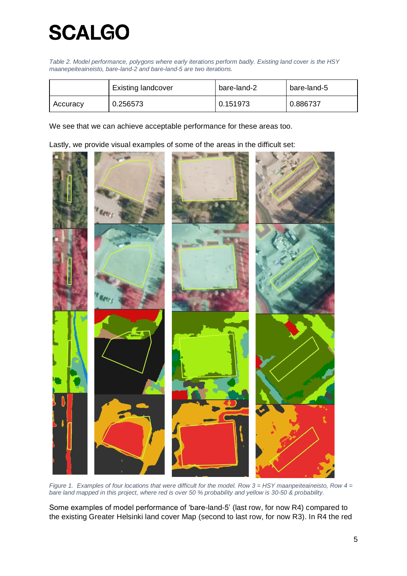*Table 2. Model performance, polygons where early iterations perform badly. Existing land cover is the HSY maanepeiteaineisto, bare-land-2 and bare-land-5 are two iterations.*

|          | <b>Existing landcover</b> | bare-land-2 | l bare-land-5 |
|----------|---------------------------|-------------|---------------|
| Accuracy | 0.256573                  | 0.151973    | 0.886737      |

We see that we can achieve acceptable performance for these areas too.

Lastly, we provide visual examples of some of the areas in the difficult set:



*Figure 1. Examples of four locations that were difficult for the model. Row 3 = HSY maanpeiteaineisto, Row 4 = bare land mapped in this project, where red is over 50 % probability and yellow is 30-50 & probability.* 

Some examples of model performance of 'bare-land-5' (last row, for now R4) compared to the existing Greater Helsinki land cover Map (second to last row, for now R3). In R4 the red